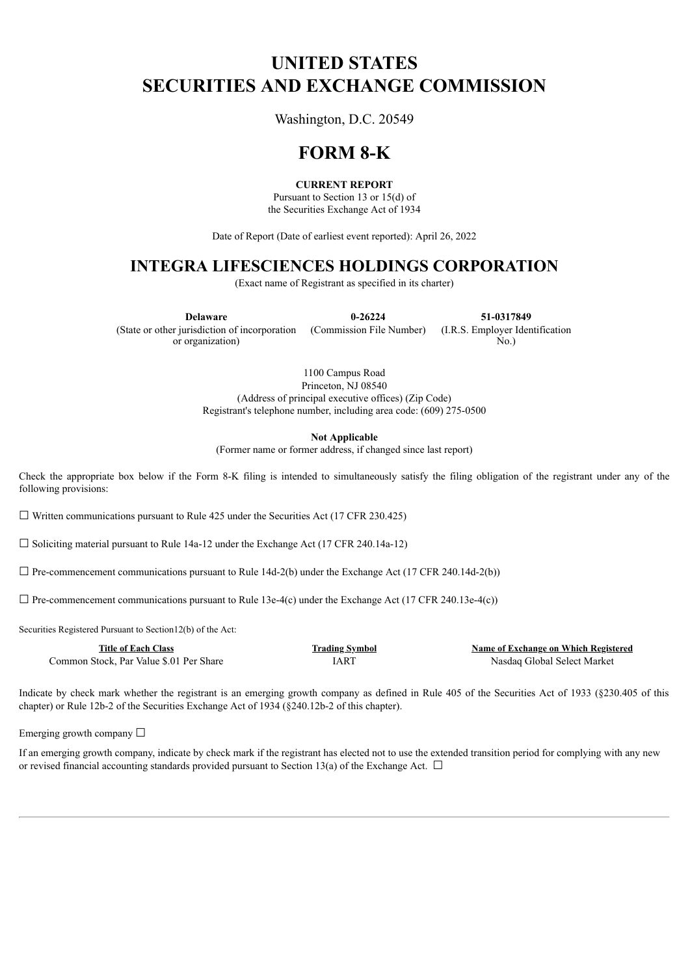# **UNITED STATES SECURITIES AND EXCHANGE COMMISSION**

Washington, D.C. 20549

# **FORM 8-K**

### **CURRENT REPORT**

Pursuant to Section 13 or 15(d) of the Securities Exchange Act of 1934

Date of Report (Date of earliest event reported): April 26, 2022

## **INTEGRA LIFESCIENCES HOLDINGS CORPORATION**

(Exact name of Registrant as specified in its charter)

**Delaware 0-26224 51-0317849** (State or other jurisdiction of incorporation or organization)

(Commission File Number) (I.R.S. Employer Identification

1100 Campus Road Princeton, NJ 08540 (Address of principal executive offices) (Zip Code) Registrant's telephone number, including area code: (609) 275-0500

**Not Applicable**

(Former name or former address, if changed since last report)

Check the appropriate box below if the Form 8-K filing is intended to simultaneously satisfy the filing obligation of the registrant under any of the following provisions:

 $\Box$  Written communications pursuant to Rule 425 under the Securities Act (17 CFR 230.425)

☐ Soliciting material pursuant to Rule 14a-12 under the Exchange Act (17 CFR 240.14a-12)

 $\Box$  Pre-commencement communications pursuant to Rule 14d-2(b) under the Exchange Act (17 CFR 240.14d-2(b))

 $\Box$  Pre-commencement communications pursuant to Rule 13e-4(c) under the Exchange Act (17 CFR 240.13e-4(c))

Securities Registered Pursuant to Section12(b) of the Act:

| <b>Title of Each Class</b>              | <b>Trading Symbol</b> | Name of Exchange on Which Registered |
|-----------------------------------------|-----------------------|--------------------------------------|
| Common Stock. Par Value \$.01 Per Share | [AR]                  | Nasdag Global Select Market          |

Indicate by check mark whether the registrant is an emerging growth company as defined in Rule 405 of the Securities Act of 1933 (§230.405 of this chapter) or Rule 12b-2 of the Securities Exchange Act of 1934 (§240.12b-2 of this chapter).

Emerging growth company  $\Box$ 

If an emerging growth company, indicate by check mark if the registrant has elected not to use the extended transition period for complying with any new or revised financial accounting standards provided pursuant to Section 13(a) of the Exchange Act.  $\Box$ 

No.)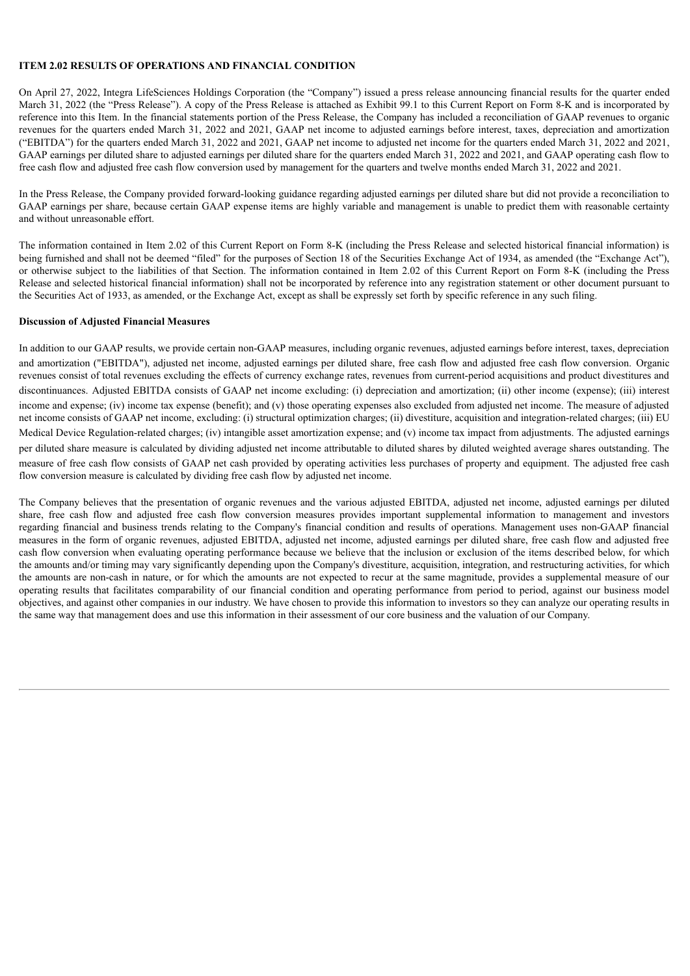#### **ITEM 2.02 RESULTS OF OPERATIONS AND FINANCIAL CONDITION**

On April 27, 2022, Integra LifeSciences Holdings Corporation (the "Company") issued a press release announcing financial results for the quarter ended March 31, 2022 (the "Press Release"). A copy of the Press Release is attached as Exhibit 99.1 to this Current Report on Form 8-K and is incorporated by reference into this Item. In the financial statements portion of the Press Release, the Company has included a reconciliation of GAAP revenues to organic revenues for the quarters ended March 31, 2022 and 2021, GAAP net income to adjusted earnings before interest, taxes, depreciation and amortization ("EBITDA") for the quarters ended March 31, 2022 and 2021, GAAP net income to adjusted net income for the quarters ended March 31, 2022 and 2021, GAAP earnings per diluted share to adjusted earnings per diluted share for the quarters ended March 31, 2022 and 2021, and GAAP operating cash flow to free cash flow and adjusted free cash flow conversion used by management for the quarters and twelve months ended March 31, 2022 and 2021.

In the Press Release, the Company provided forward-looking guidance regarding adjusted earnings per diluted share but did not provide a reconciliation to GAAP earnings per share, because certain GAAP expense items are highly variable and management is unable to predict them with reasonable certainty and without unreasonable effort.

The information contained in Item 2.02 of this Current Report on Form 8-K (including the Press Release and selected historical financial information) is being furnished and shall not be deemed "filed" for the purposes of Section 18 of the Securities Exchange Act of 1934, as amended (the "Exchange Act"), or otherwise subject to the liabilities of that Section. The information contained in Item 2.02 of this Current Report on Form 8-K (including the Press Release and selected historical financial information) shall not be incorporated by reference into any registration statement or other document pursuant to the Securities Act of 1933, as amended, or the Exchange Act, except as shall be expressly set forth by specific reference in any such filing.

#### **Discussion of Adjusted Financial Measures**

In addition to our GAAP results, we provide certain non-GAAP measures, including organic revenues, adjusted earnings before interest, taxes, depreciation and amortization ("EBITDA"), adjusted net income, adjusted earnings per diluted share, free cash flow and adjusted free cash flow conversion. Organic revenues consist of total revenues excluding the effects of currency exchange rates, revenues from current-period acquisitions and product divestitures and discontinuances. Adjusted EBITDA consists of GAAP net income excluding: (i) depreciation and amortization; (ii) other income (expense); (iii) interest income and expense; (iv) income tax expense (benefit); and (v) those operating expenses also excluded from adjusted net income. The measure of adjusted net income consists of GAAP net income, excluding: (i) structural optimization charges; (ii) divestiture, acquisition and integration-related charges; (iii) EU Medical Device Regulation-related charges; (iv) intangible asset amortization expense; and (v) income tax impact from adjustments. The adjusted earnings per diluted share measure is calculated by dividing adjusted net income attributable to diluted shares by diluted weighted average shares outstanding. The measure of free cash flow consists of GAAP net cash provided by operating activities less purchases of property and equipment. The adjusted free cash flow conversion measure is calculated by dividing free cash flow by adjusted net income.

The Company believes that the presentation of organic revenues and the various adjusted EBITDA, adjusted net income, adjusted earnings per diluted share, free cash flow and adjusted free cash flow conversion measures provides important supplemental information to management and investors regarding financial and business trends relating to the Company's financial condition and results of operations. Management uses non-GAAP financial measures in the form of organic revenues, adjusted EBITDA, adjusted net income, adjusted earnings per diluted share, free cash flow and adjusted free cash flow conversion when evaluating operating performance because we believe that the inclusion or exclusion of the items described below, for which the amounts and/or timing may vary significantly depending upon the Company's divestiture, acquisition, integration, and restructuring activities, for which the amounts are non-cash in nature, or for which the amounts are not expected to recur at the same magnitude, provides a supplemental measure of our operating results that facilitates comparability of our financial condition and operating performance from period to period, against our business model objectives, and against other companies in our industry. We have chosen to provide this information to investors so they can analyze our operating results in the same way that management does and use this information in their assessment of our core business and the valuation of our Company.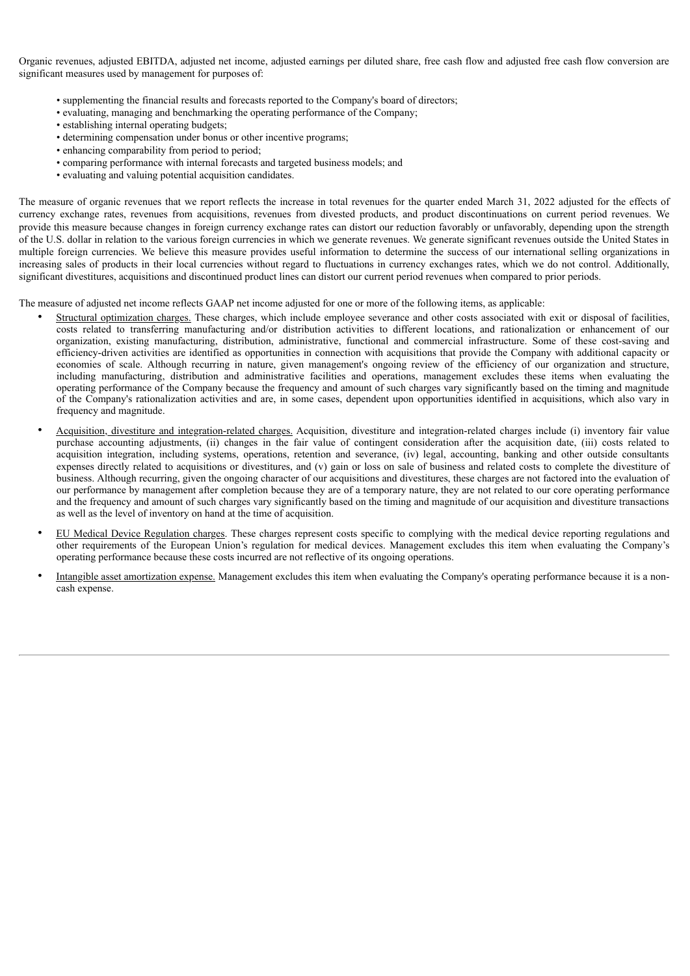Organic revenues, adjusted EBITDA, adjusted net income, adjusted earnings per diluted share, free cash flow and adjusted free cash flow conversion are significant measures used by management for purposes of:

- supplementing the financial results and forecasts reported to the Company's board of directors;
- evaluating, managing and benchmarking the operating performance of the Company;
- establishing internal operating budgets;
- determining compensation under bonus or other incentive programs;
- enhancing comparability from period to period;
- comparing performance with internal forecasts and targeted business models; and
- evaluating and valuing potential acquisition candidates.

The measure of organic revenues that we report reflects the increase in total revenues for the quarter ended March 31, 2022 adjusted for the effects of currency exchange rates, revenues from acquisitions, revenues from divested products, and product discontinuations on current period revenues. We provide this measure because changes in foreign currency exchange rates can distort our reduction favorably or unfavorably, depending upon the strength of the U.S. dollar in relation to the various foreign currencies in which we generate revenues. We generate significant revenues outside the United States in multiple foreign currencies. We believe this measure provides useful information to determine the success of our international selling organizations in increasing sales of products in their local currencies without regard to fluctuations in currency exchanges rates, which we do not control. Additionally, significant divestitures, acquisitions and discontinued product lines can distort our current period revenues when compared to prior periods.

The measure of adjusted net income reflects GAAP net income adjusted for one or more of the following items, as applicable:

- Structural optimization charges. These charges, which include employee severance and other costs associated with exit or disposal of facilities, costs related to transferring manufacturing and/or distribution activities to different locations, and rationalization or enhancement of our organization, existing manufacturing, distribution, administrative, functional and commercial infrastructure. Some of these cost-saving and efficiency-driven activities are identified as opportunities in connection with acquisitions that provide the Company with additional capacity or economies of scale. Although recurring in nature, given management's ongoing review of the efficiency of our organization and structure, including manufacturing, distribution and administrative facilities and operations, management excludes these items when evaluating the operating performance of the Company because the frequency and amount of such charges vary significantly based on the timing and magnitude of the Company's rationalization activities and are, in some cases, dependent upon opportunities identified in acquisitions, which also vary in frequency and magnitude.
- Acquisition, divestiture and integration-related charges. Acquisition, divestiture and integration-related charges include (i) inventory fair value purchase accounting adjustments, (ii) changes in the fair value of contingent consideration after the acquisition date, (iii) costs related to acquisition integration, including systems, operations, retention and severance, (iv) legal, accounting, banking and other outside consultants expenses directly related to acquisitions or divestitures, and (v) gain or loss on sale of business and related costs to complete the divestiture of business. Although recurring, given the ongoing character of our acquisitions and divestitures, these charges are not factored into the evaluation of our performance by management after completion because they are of a temporary nature, they are not related to our core operating performance and the frequency and amount of such charges vary significantly based on the timing and magnitude of our acquisition and divestiture transactions as well as the level of inventory on hand at the time of acquisition.
- EU Medical Device Regulation charges. These charges represent costs specific to complying with the medical device reporting regulations and other requirements of the European Union's regulation for medical devices. Management excludes this item when evaluating the Company's operating performance because these costs incurred are not reflective of its ongoing operations.
- Intangible asset amortization expense. Management excludes this item when evaluating the Company's operating performance because it is a noncash expense.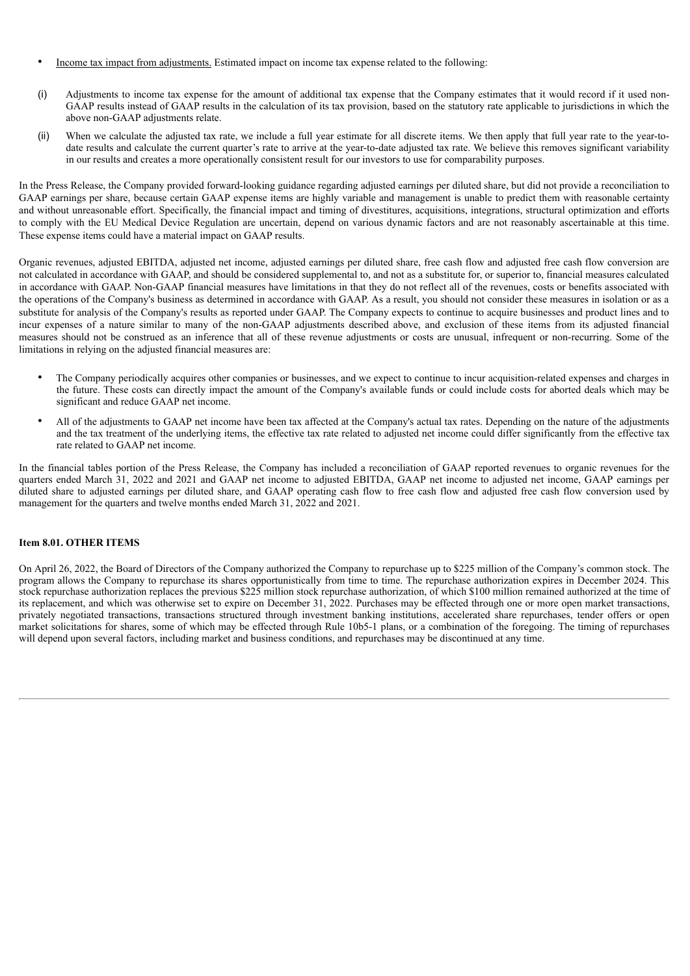- Income tax impact from adjustments. Estimated impact on income tax expense related to the following:
- (i) Adjustments to income tax expense for the amount of additional tax expense that the Company estimates that it would record if it used non-GAAP results instead of GAAP results in the calculation of its tax provision, based on the statutory rate applicable to jurisdictions in which the above non-GAAP adjustments relate.
- (ii) When we calculate the adjusted tax rate, we include a full year estimate for all discrete items. We then apply that full year rate to the year-todate results and calculate the current quarter's rate to arrive at the year-to-date adjusted tax rate. We believe this removes significant variability in our results and creates a more operationally consistent result for our investors to use for comparability purposes.

In the Press Release, the Company provided forward-looking guidance regarding adjusted earnings per diluted share, but did not provide a reconciliation to GAAP earnings per share, because certain GAAP expense items are highly variable and management is unable to predict them with reasonable certainty and without unreasonable effort. Specifically, the financial impact and timing of divestitures, acquisitions, integrations, structural optimization and efforts to comply with the EU Medical Device Regulation are uncertain, depend on various dynamic factors and are not reasonably ascertainable at this time. These expense items could have a material impact on GAAP results.

Organic revenues, adjusted EBITDA, adjusted net income, adjusted earnings per diluted share, free cash flow and adjusted free cash flow conversion are not calculated in accordance with GAAP, and should be considered supplemental to, and not as a substitute for, or superior to, financial measures calculated in accordance with GAAP. Non-GAAP financial measures have limitations in that they do not reflect all of the revenues, costs or benefits associated with the operations of the Company's business as determined in accordance with GAAP. As a result, you should not consider these measures in isolation or as a substitute for analysis of the Company's results as reported under GAAP. The Company expects to continue to acquire businesses and product lines and to incur expenses of a nature similar to many of the non-GAAP adjustments described above, and exclusion of these items from its adjusted financial measures should not be construed as an inference that all of these revenue adjustments or costs are unusual, infrequent or non-recurring. Some of the limitations in relying on the adjusted financial measures are:

- The Company periodically acquires other companies or businesses, and we expect to continue to incur acquisition-related expenses and charges in the future. These costs can directly impact the amount of the Company's available funds or could include costs for aborted deals which may be significant and reduce GAAP net income.
- All of the adjustments to GAAP net income have been tax affected at the Company's actual tax rates. Depending on the nature of the adjustments and the tax treatment of the underlying items, the effective tax rate related to adjusted net income could differ significantly from the effective tax rate related to GAAP net income.

In the financial tables portion of the Press Release, the Company has included a reconciliation of GAAP reported revenues to organic revenues for the quarters ended March 31, 2022 and 2021 and GAAP net income to adjusted EBITDA, GAAP net income to adjusted net income, GAAP earnings per diluted share to adjusted earnings per diluted share, and GAAP operating cash flow to free cash flow and adjusted free cash flow conversion used by management for the quarters and twelve months ended March 31, 2022 and 2021.

#### **Item 8.01. OTHER ITEMS**

On April 26, 2022, the Board of Directors of the Company authorized the Company to repurchase up to \$225 million of the Company's common stock. The program allows the Company to repurchase its shares opportunistically from time to time. The repurchase authorization expires in December 2024. This stock repurchase authorization replaces the previous \$225 million stock repurchase authorization, of which \$100 million remained authorized at the time of its replacement, and which was otherwise set to expire on December 31, 2022. Purchases may be effected through one or more open market transactions, privately negotiated transactions, transactions structured through investment banking institutions, accelerated share repurchases, tender offers or open market solicitations for shares, some of which may be effected through Rule 10b5-1 plans, or a combination of the foregoing. The timing of repurchases will depend upon several factors, including market and business conditions, and repurchases may be discontinued at any time.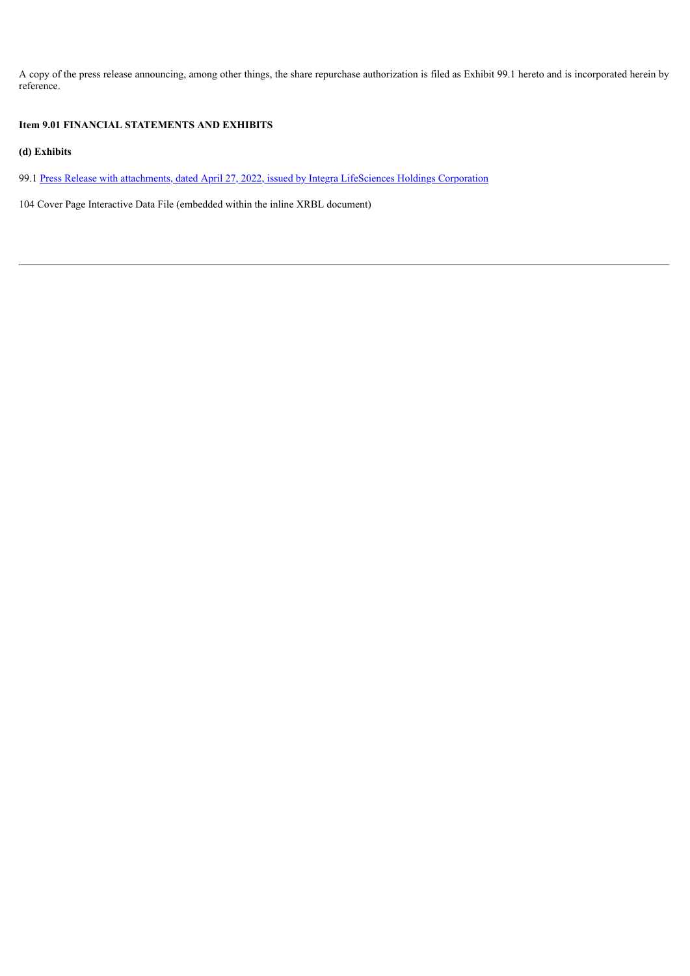A copy of the press release announcing, among other things, the share repurchase authorization is filed as Exhibit 99.1 hereto and is incorporated herein by reference.

## **Item 9.01 FINANCIAL STATEMENTS AND EXHIBITS**

**(d) Exhibits**

99.1 Press Release with [attachments,](#page-6-0) dated [April](#page-6-0) 27, 2022, issued by Integra [LifeSciences](#page-6-0) Holdings Corporation

104 Cover Page Interactive Data File (embedded within the inline XRBL document)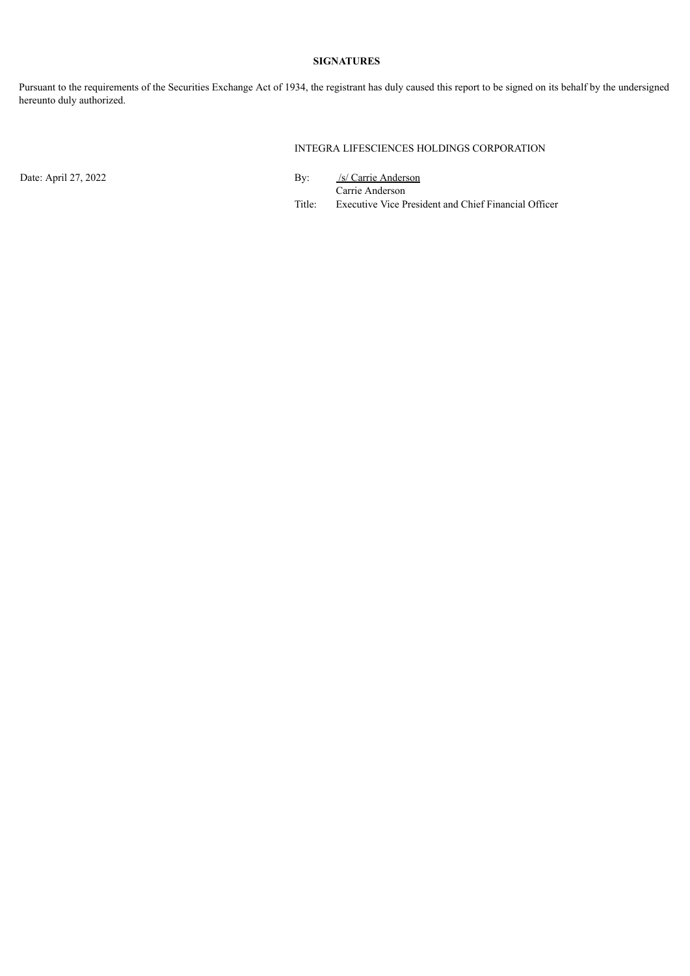## **SIGNATURES**

Pursuant to the requirements of the Securities Exchange Act of 1934, the registrant has duly caused this report to be signed on its behalf by the undersigned hereunto duly authorized.

INTEGRA LIFESCIENCES HOLDINGS CORPORATION

Date: April 27, 2022 By: /s/ Carrie Anderson Carrie Anderson Title: Executive Vice President and Chief Financial Officer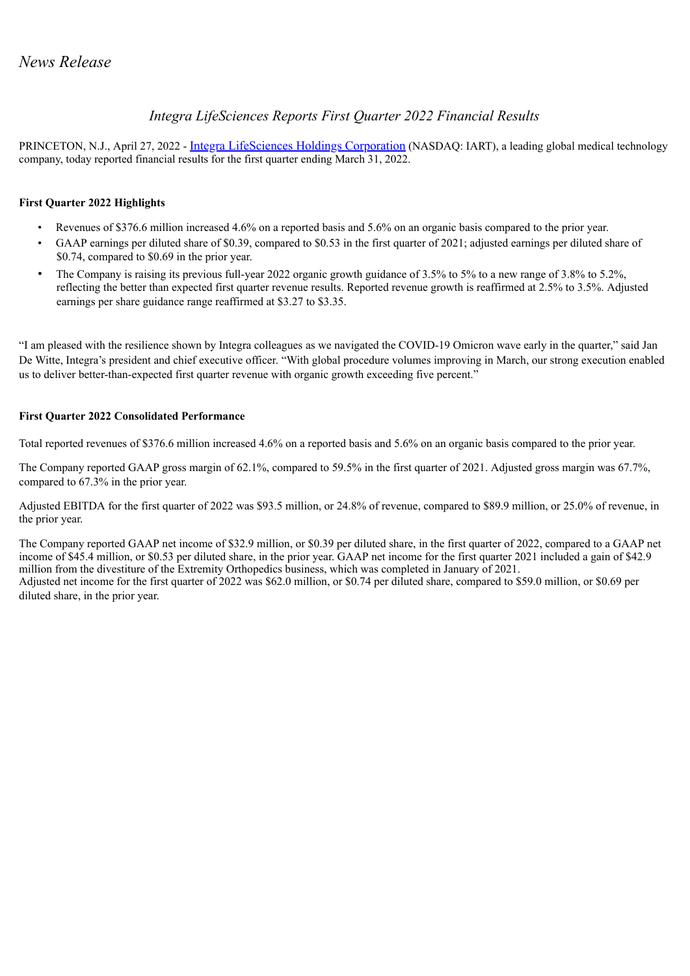## *Integra LifeSciences Reports First Quarter 2022 Financial Results*

<span id="page-6-0"></span>PRINCETON, N.J., April 27, 2022 - *Integra LifeSciences Holdings Corporation* (NASDAQ: IART), a leading global medical technology company, today reported financial results for the first quarter ending March 31, 2022.

## **First Quarter 2022 Highlights**

- Revenues of \$376.6 million increased 4.6% on a reported basis and 5.6% on an organic basis compared to the prior year.
- GAAP earnings per diluted share of \$0.39, compared to \$0.53 in the first quarter of 2021; adjusted earnings per diluted share of \$0.74, compared to \$0.69 in the prior year.
- The Company is raising its previous full-year 2022 organic growth guidance of 3.5% to 5% to a new range of 3.8% to 5.2%, reflecting the better than expected first quarter revenue results. Reported revenue growth is reaffirmed at 2.5% to 3.5%. Adjusted earnings per share guidance range reaffirmed at \$3.27 to \$3.35.

"I am pleased with the resilience shown by Integra colleagues as we navigated the COVID-19 Omicron wave early in the quarter," said Jan De Witte, Integra's president and chief executive officer. "With global procedure volumes improving in March, our strong execution enabled us to deliver better-than-expected first quarter revenue with organic growth exceeding five percent."

## **First Quarter 2022 Consolidated Performance**

Total reported revenues of \$376.6 million increased 4.6% on a reported basis and 5.6% on an organic basis compared to the prior year.

The Company reported GAAP gross margin of 62.1%, compared to 59.5% in the first quarter of 2021. Adjusted gross margin was 67.7%, compared to 67.3% in the prior year.

Adjusted EBITDA for the first quarter of 2022 was \$93.5 million, or 24.8% of revenue, compared to \$89.9 million, or 25.0% of revenue, in the prior year.

The Company reported GAAP net income of \$32.9 million, or \$0.39 per diluted share, in the first quarter of 2022, compared to a GAAP net income of \$45.4 million, or \$0.53 per diluted share, in the prior year. GAAP net income for the first quarter 2021 included a gain of \$42.9 million from the divestiture of the Extremity Orthopedics business, which was completed in January of 2021. Adjusted net income for the first quarter of 2022 was \$62.0 million, or \$0.74 per diluted share, compared to \$59.0 million, or \$0.69 per diluted share, in the prior year.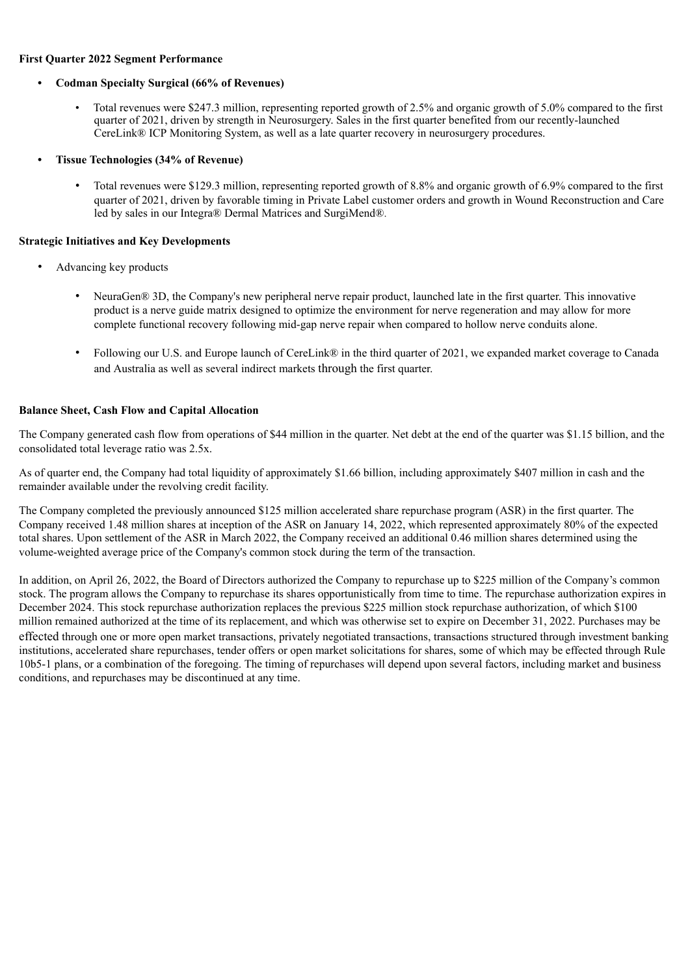#### **First Quarter 2022 Segment Performance**

#### **• Codman Specialty Surgical (66% of Revenues)**

- Total revenues were \$247.3 million, representing reported growth of 2.5% and organic growth of 5.0% compared to the first quarter of 2021, driven by strength in Neurosurgery. Sales in the first quarter benefited from our recently-launched CereLink® ICP Monitoring System, as well as a late quarter recovery in neurosurgery procedures.
- **• Tissue Technologies (34% of Revenue)**
	- Total revenues were \$129.3 million, representing reported growth of 8.8% and organic growth of 6.9% compared to the first quarter of 2021, driven by favorable timing in Private Label customer orders and growth in Wound Reconstruction and Care led by sales in our Integra® Dermal Matrices and SurgiMend®.

#### **Strategic Initiatives and Key Developments**

- Advancing key products
	- NeuraGen® 3D, the Company's new peripheral nerve repair product, launched late in the first quarter. This innovative product is a nerve guide matrix designed to optimize the environment for nerve regeneration and may allow for more complete functional recovery following mid-gap nerve repair when compared to hollow nerve conduits alone.
	- Following our U.S. and Europe launch of CereLink® in the third quarter of 2021, we expanded market coverage to Canada and Australia as well as several indirect markets through the first quarter.

#### **Balance Sheet, Cash Flow and Capital Allocation**

The Company generated cash flow from operations of \$44 million in the quarter. Net debt at the end of the quarter was \$1.15 billion, and the consolidated total leverage ratio was 2.5x.

As of quarter end, the Company had total liquidity of approximately \$1.66 billion, including approximately \$407 million in cash and the remainder available under the revolving credit facility.

The Company completed the previously announced \$125 million accelerated share repurchase program (ASR) in the first quarter. The Company received 1.48 million shares at inception of the ASR on January 14, 2022, which represented approximately 80% of the expected total shares. Upon settlement of the ASR in March 2022, the Company received an additional 0.46 million shares determined using the volume-weighted average price of the Company's common stock during the term of the transaction.

In addition, on April 26, 2022, the Board of Directors authorized the Company to repurchase up to \$225 million of the Company's common stock. The program allows the Company to repurchase its shares opportunistically from time to time. The repurchase authorization expires in December 2024. This stock repurchase authorization replaces the previous \$225 million stock repurchase authorization, of which \$100 million remained authorized at the time of its replacement, and which was otherwise set to expire on December 31, 2022. Purchases may be effected through one or more open market transactions, privately negotiated transactions, transactions structured through investment banking institutions, accelerated share repurchases, tender offers or open market solicitations for shares, some of which may be effected through Rule 10b5-1 plans, or a combination of the foregoing. The timing of repurchases will depend upon several factors, including market and business conditions, and repurchases may be discontinued at any time.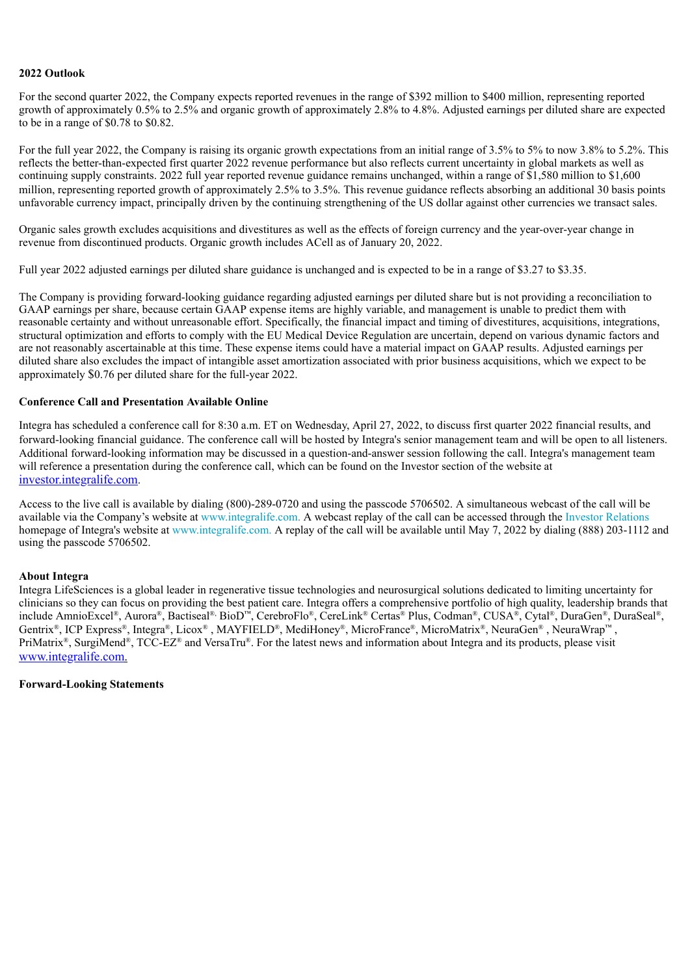#### **2022 Outlook**

For the second quarter 2022, the Company expects reported revenues in the range of \$392 million to \$400 million, representing reported growth of approximately 0.5% to 2.5% and organic growth of approximately 2.8% to 4.8%. Adjusted earnings per diluted share are expected to be in a range of \$0.78 to \$0.82.

For the full year 2022, the Company is raising its organic growth expectations from an initial range of 3.5% to 5% to 5% to now 3.8% to 5.2%. This reflects the better-than-expected first quarter 2022 revenue performance but also reflects current uncertainty in global markets as well as continuing supply constraints. 2022 full year reported revenue guidance remains unchanged, within a range of \$1,580 million to \$1,600 million, representing reported growth of approximately 2.5% to 3.5%. This revenue guidance reflects absorbing an additional 30 basis points unfavorable currency impact, principally driven by the continuing strengthening of the US dollar against other currencies we transact sales.

Organic sales growth excludes acquisitions and divestitures as well as the effects of foreign currency and the year-over-year change in revenue from discontinued products. Organic growth includes ACell as of January 20, 2022.

Full year 2022 adjusted earnings per diluted share guidance is unchanged and is expected to be in a range of \$3.27 to \$3.35.

The Company is providing forward-looking guidance regarding adjusted earnings per diluted share but is not providing a reconciliation to GAAP earnings per share, because certain GAAP expense items are highly variable, and management is unable to predict them with reasonable certainty and without unreasonable effort. Specifically, the financial impact and timing of divestitures, acquisitions, integrations, structural optimization and efforts to comply with the EU Medical Device Regulation are uncertain, depend on various dynamic factors and are not reasonably ascertainable at this time. These expense items could have a material impact on GAAP results. Adjusted earnings per diluted share also excludes the impact of intangible asset amortization associated with prior business acquisitions, which we expect to be approximately \$0.76 per diluted share for the full-year 2022.

#### **Conference Call and Presentation Available Online**

Integra has scheduled a conference call for 8:30 a.m. ET on Wednesday, April 27, 2022, to discuss first quarter 2022 financial results, and forward-looking financial guidance. The conference call will be hosted by Integra's senior management team and will be open to all listeners. Additional forward-looking information may be discussed in a question-and-answer session following the call. Integra's management team will reference a presentation during the conference call, which can be found on the Investor section of the website at investor.integralife.com.

Access to the live call is available by dialing (800)-289-0720 and using the passcode 5706502. A simultaneous webcast of the call will be available via the Company's website at www.integralife.com. A webcast replay of the call can be accessed through the Investor Relations homepage of Integra's website at www.integralife.com. A replay of the call will be available until May 7, 2022 by dialing (888) 203-1112 and using the passcode 5706502.

#### **About Integra**

Integra LifeSciences is a global leader in regenerative tissue technologies and neurosurgical solutions dedicated to limiting uncertainty for clinicians so they can focus on providing the best patient care. Integra offers a comprehensive portfolio of high quality, leadership brands that include AmnioExcel®, Aurora®, Bactiseal® BioD™, CerebroFlo®, CereLink® Certas® Plus, Codman®, CUSA®, Cytal®, DuraGen®, DuraSeal®, Gentrix<sup>®</sup>, ICP Express®, Integra®, Licox®, MAYFIELD®, MediHoney®, MicroFrance®, MicroMatrix®, NeuraGen®, NeuraWrap™, PriMatrix<sup>®</sup>, SurgiMend<sup>®</sup>, TCC-EZ<sup>®</sup> and VersaTru<sup>®</sup>. For the latest news and information about Integra and its products, please visit www.integralife.com.

#### **Forward-Looking Statements**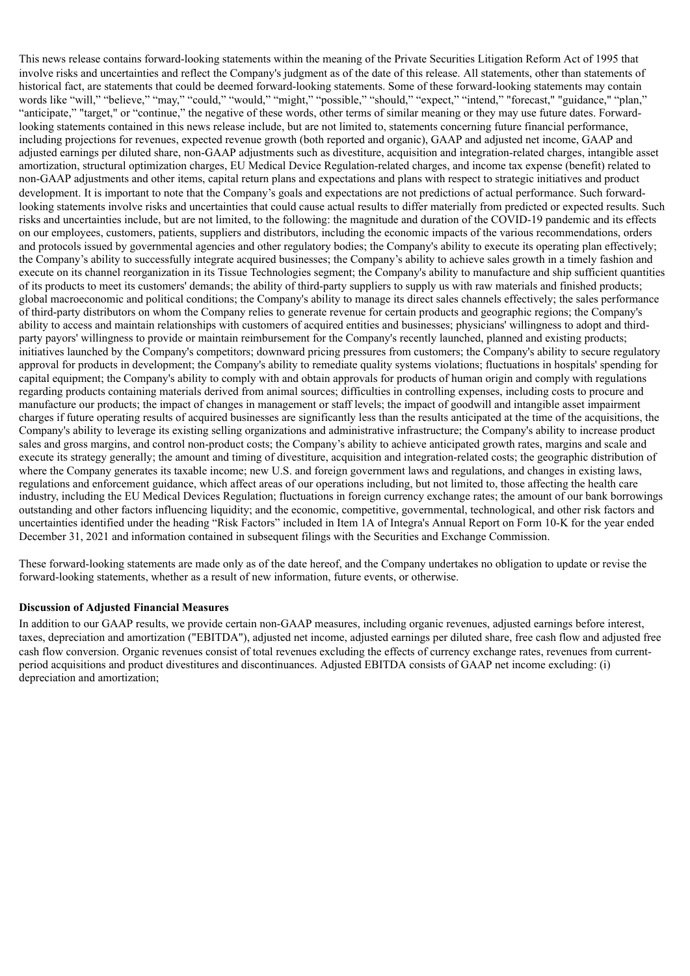This news release contains forward-looking statements within the meaning of the Private Securities Litigation Reform Act of 1995 that involve risks and uncertainties and reflect the Company's judgment as of the date of this release. All statements, other than statements of historical fact, are statements that could be deemed forward-looking statements. Some of these forward-looking statements may contain words like "will," "believe," "may," "could," "would," "might," "possible," "should," "expect," "intend," "forecast," "guidance," "plan," "anticipate," "target," or "continue," the negative of these words, other terms of similar meaning or they may use future dates. Forwardlooking statements contained in this news release include, but are not limited to, statements concerning future financial performance, including projections for revenues, expected revenue growth (both reported and organic), GAAP and adjusted net income, GAAP and adjusted earnings per diluted share, non-GAAP adjustments such as divestiture, acquisition and integration-related charges, intangible asset amortization, structural optimization charges, EU Medical Device Regulation-related charges, and income tax expense (benefit) related to non-GAAP adjustments and other items, capital return plans and expectations and plans with respect to strategic initiatives and product development. It is important to note that the Company's goals and expectations are not predictions of actual performance. Such forwardlooking statements involve risks and uncertainties that could cause actual results to differ materially from predicted or expected results. Such risks and uncertainties include, but are not limited, to the following: the magnitude and duration of the COVID-19 pandemic and its effects on our employees, customers, patients, suppliers and distributors, including the economic impacts of the various recommendations, orders and protocols issued by governmental agencies and other regulatory bodies; the Company's ability to execute its operating plan effectively; the Company's ability to successfully integrate acquired businesses; the Company's ability to achieve sales growth in a timely fashion and execute on its channel reorganization in its Tissue Technologies segment; the Company's ability to manufacture and ship sufficient quantities of its products to meet its customers' demands; the ability of third-party suppliers to supply us with raw materials and finished products; global macroeconomic and political conditions; the Company's ability to manage its direct sales channels effectively; the sales performance of third-party distributors on whom the Company relies to generate revenue for certain products and geographic regions; the Company's ability to access and maintain relationships with customers of acquired entities and businesses; physicians' willingness to adopt and thirdparty payors' willingness to provide or maintain reimbursement for the Company's recently launched, planned and existing products; initiatives launched by the Company's competitors; downward pricing pressures from customers; the Company's ability to secure regulatory approval for products in development; the Company's ability to remediate quality systems violations; fluctuations in hospitals' spending for capital equipment; the Company's ability to comply with and obtain approvals for products of human origin and comply with regulations regarding products containing materials derived from animal sources; difficulties in controlling expenses, including costs to procure and manufacture our products; the impact of changes in management or staff levels; the impact of goodwill and intangible asset impairment charges if future operating results of acquired businesses are significantly less than the results anticipated at the time of the acquisitions, the Company's ability to leverage its existing selling organizations and administrative infrastructure; the Company's ability to increase product sales and gross margins, and control non-product costs; the Company's ability to achieve anticipated growth rates, margins and scale and execute its strategy generally; the amount and timing of divestiture, acquisition and integration-related costs; the geographic distribution of where the Company generates its taxable income; new U.S. and foreign government laws and regulations, and changes in existing laws, regulations and enforcement guidance, which affect areas of our operations including, but not limited to, those affecting the health care industry, including the EU Medical Devices Regulation; fluctuations in foreign currency exchange rates; the amount of our bank borrowings outstanding and other factors influencing liquidity; and the economic, competitive, governmental, technological, and other risk factors and uncertainties identified under the heading "Risk Factors" included in Item 1A of Integra's Annual Report on Form 10-K for the year ended December 31, 2021 and information contained in subsequent filings with the Securities and Exchange Commission.

These forward-looking statements are made only as of the date hereof, and the Company undertakes no obligation to update or revise the forward-looking statements, whether as a result of new information, future events, or otherwise.

#### **Discussion of Adjusted Financial Measures**

In addition to our GAAP results, we provide certain non-GAAP measures, including organic revenues, adjusted earnings before interest, taxes, depreciation and amortization ("EBITDA"), adjusted net income, adjusted earnings per diluted share, free cash flow and adjusted free cash flow conversion. Organic revenues consist of total revenues excluding the effects of currency exchange rates, revenues from currentperiod acquisitions and product divestitures and discontinuances. Adjusted EBITDA consists of GAAP net income excluding: (i) depreciation and amortization;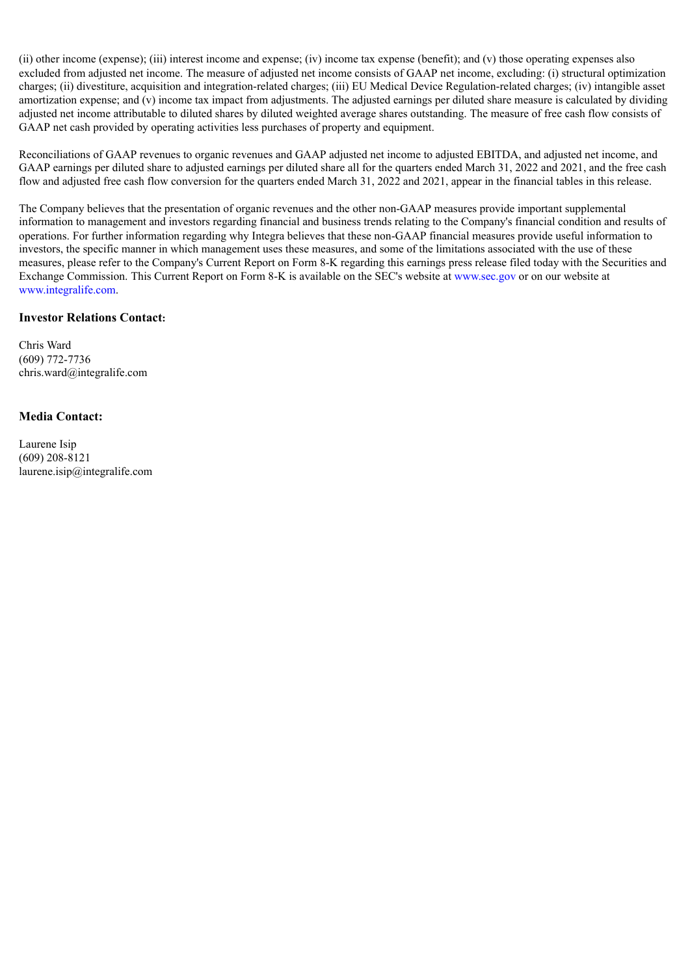(ii) other income (expense); (iii) interest income and expense; (iv) income tax expense (benefit); and (v) those operating expenses also excluded from adjusted net income. The measure of adjusted net income consists of GAAP net income, excluding: (i) structural optimization charges; (ii) divestiture, acquisition and integration-related charges; (iii) EU Medical Device Regulation-related charges; (iv) intangible asset amortization expense; and (v) income tax impact from adjustments. The adjusted earnings per diluted share measure is calculated by dividing adjusted net income attributable to diluted shares by diluted weighted average shares outstanding. The measure of free cash flow consists of GAAP net cash provided by operating activities less purchases of property and equipment.

Reconciliations of GAAP revenues to organic revenues and GAAP adjusted net income to adjusted EBITDA, and adjusted net income, and GAAP earnings per diluted share to adjusted earnings per diluted share all for the quarters ended March 31, 2022 and 2021, and the free cash flow and adjusted free cash flow conversion for the quarters ended March 31, 2022 and 2021, appear in the financial tables in this release.

The Company believes that the presentation of organic revenues and the other non-GAAP measures provide important supplemental information to management and investors regarding financial and business trends relating to the Company's financial condition and results of operations. For further information regarding why Integra believes that these non-GAAP financial measures provide useful information to investors, the specific manner in which management uses these measures, and some of the limitations associated with the use of these measures, please refer to the Company's Current Report on Form 8-K regarding this earnings press release filed today with the Securities and Exchange Commission. This Current Report on Form 8-K is available on the SEC's website at www.sec.gov or on our website at www.integralife.com.

## **Investor Relations Contact:**

Chris Ward (609) 772-7736 chris.ward@integralife.com

## **Media Contact:**

Laurene Isip (609) 208-8121 laurene.isip@integralife.com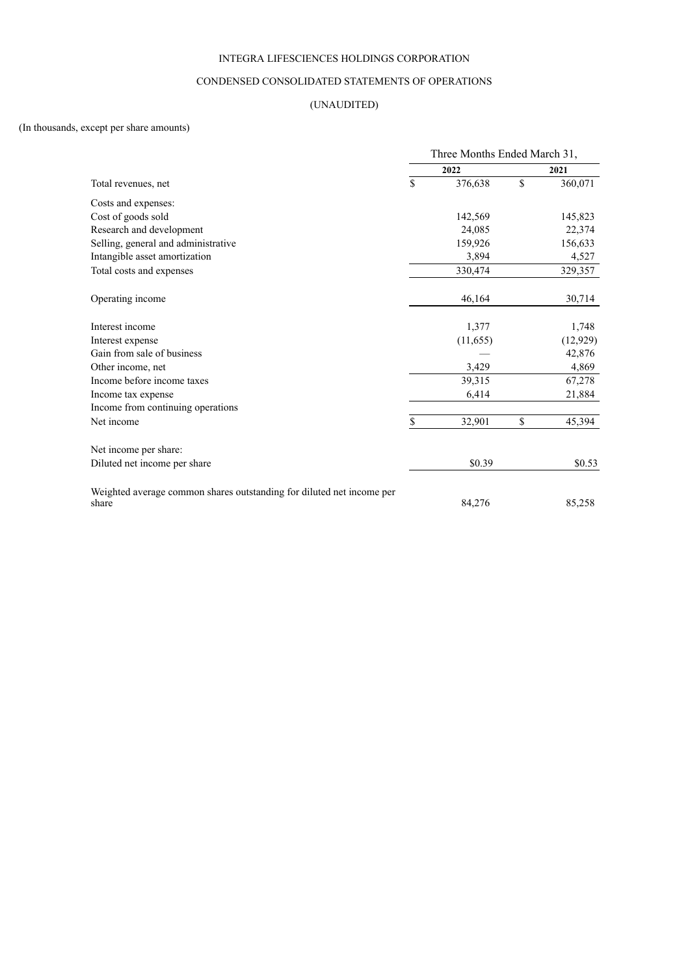## INTEGRA LIFESCIENCES HOLDINGS CORPORATION

#### CONDENSED CONSOLIDATED STATEMENTS OF OPERATIONS

## (UNAUDITED)

## (In thousands, except per share amounts)

|                                                                                | Three Months Ended March 31, |    |           |  |
|--------------------------------------------------------------------------------|------------------------------|----|-----------|--|
|                                                                                | 2022                         |    | 2021      |  |
| Total revenues, net                                                            | \$<br>376,638                | \$ | 360,071   |  |
| Costs and expenses:                                                            |                              |    |           |  |
| Cost of goods sold                                                             | 142,569                      |    | 145,823   |  |
| Research and development                                                       | 24,085                       |    | 22,374    |  |
| Selling, general and administrative                                            | 159,926                      |    | 156,633   |  |
| Intangible asset amortization                                                  | 3,894                        |    | 4,527     |  |
| Total costs and expenses                                                       | 330,474                      |    | 329,357   |  |
| Operating income                                                               | 46,164                       |    | 30,714    |  |
| Interest income                                                                | 1,377                        |    | 1,748     |  |
| Interest expense                                                               | (11, 655)                    |    | (12, 929) |  |
| Gain from sale of business                                                     |                              |    | 42,876    |  |
| Other income, net                                                              | 3,429                        |    | 4,869     |  |
| Income before income taxes                                                     | 39,315                       |    | 67,278    |  |
| Income tax expense                                                             | 6,414                        |    | 21,884    |  |
| Income from continuing operations                                              |                              |    |           |  |
| Net income                                                                     | \$<br>32,901                 | \$ | 45,394    |  |
| Net income per share:                                                          |                              |    |           |  |
| Diluted net income per share                                                   | \$0.39                       |    | \$0.53    |  |
| Weighted average common shares outstanding for diluted net income per<br>share | 84,276                       |    | 85,258    |  |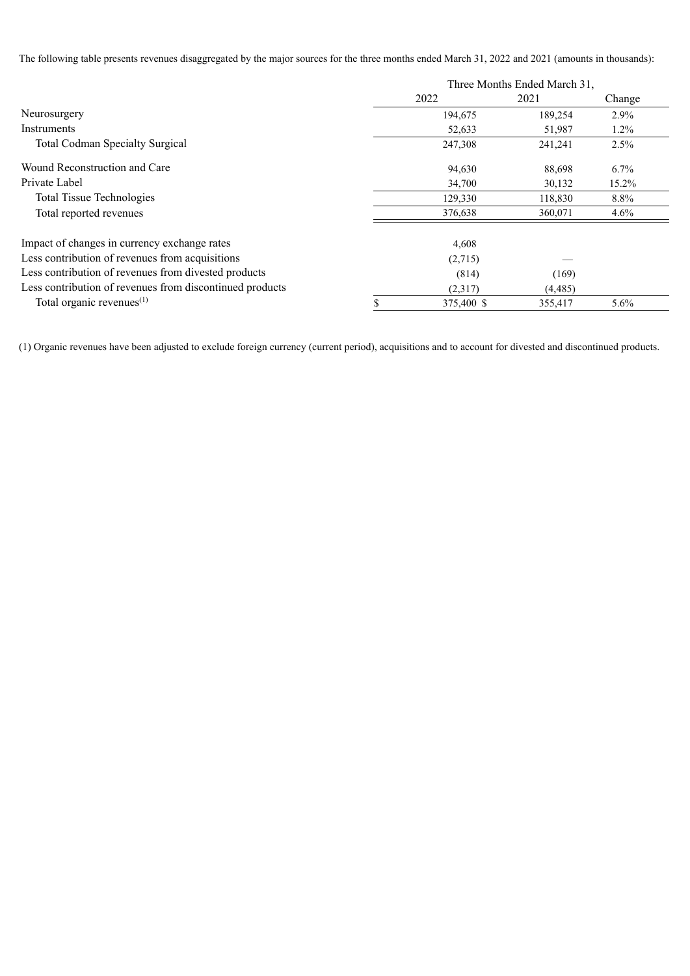The following table presents revenues disaggregated by the major sources for the three months ended March 31, 2022 and 2021 (amounts in thousands):

|                                                          | Three Months Ended March 31, |            |          |         |  |
|----------------------------------------------------------|------------------------------|------------|----------|---------|--|
|                                                          |                              | 2022       | 2021     | Change  |  |
| Neurosurgery                                             |                              | 194,675    | 189,254  | 2.9%    |  |
| Instruments                                              |                              | 52,633     | 51,987   | $1.2\%$ |  |
| <b>Total Codman Specialty Surgical</b>                   |                              | 247,308    | 241,241  | 2.5%    |  |
| Wound Reconstruction and Care                            |                              | 94,630     | 88,698   | 6.7%    |  |
| Private Label                                            |                              | 34,700     | 30,132   | 15.2%   |  |
| <b>Total Tissue Technologies</b>                         |                              | 129,330    | 118,830  | 8.8%    |  |
| Total reported revenues                                  |                              | 376,638    | 360,071  | 4.6%    |  |
| Impact of changes in currency exchange rates             |                              | 4,608      |          |         |  |
| Less contribution of revenues from acquisitions          |                              | (2,715)    |          |         |  |
| Less contribution of revenues from divested products     |                              | (814)      | (169)    |         |  |
| Less contribution of revenues from discontinued products |                              | (2,317)    | (4, 485) |         |  |
| Total organic revenues <sup>(1)</sup>                    |                              | 375,400 \$ | 355,417  | $5.6\%$ |  |

(1) Organic revenues have been adjusted to exclude foreign currency (current period), acquisitions and to account for divested and discontinued products.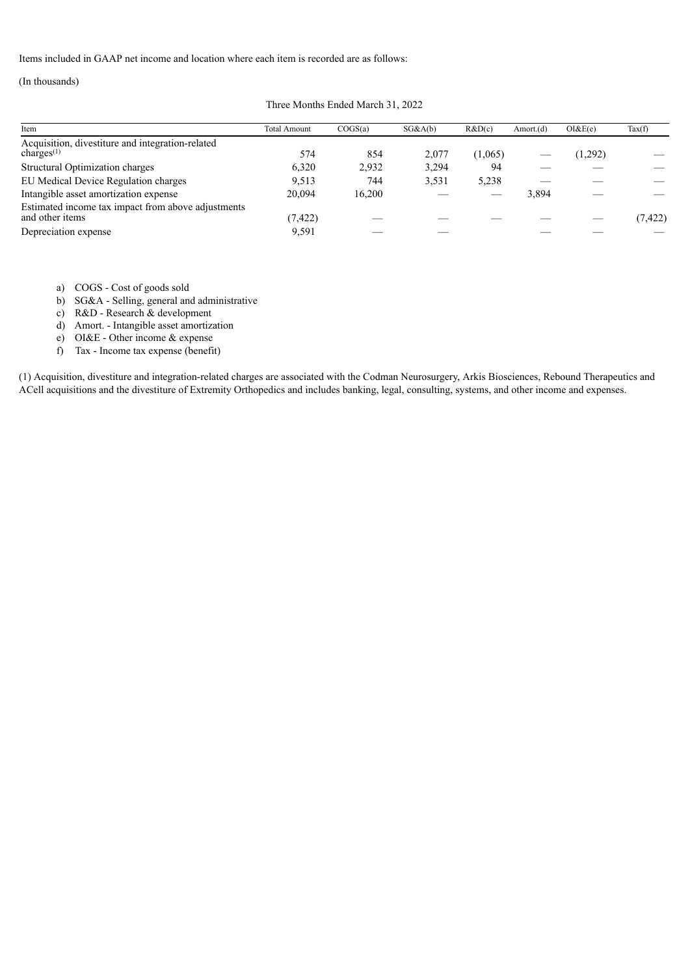Items included in GAAP net income and location where each item is recorded are as follows:

## (In thousands)

#### Three Months Ended March 31, 2022

| Item                                                                  | <b>Total Amount</b> | COGS(a) | SG&A(b) | R&D(c)  | Amort.(d) | OI&E(e) | Tax(f)   |
|-----------------------------------------------------------------------|---------------------|---------|---------|---------|-----------|---------|----------|
| Acquisition, divestiture and integration-related<br>charges $(1)$     | 574                 | 854     | 2.077   | (1,065) |           | 1,292)  |          |
| Structural Optimization charges                                       | 6.320               | 2,932   | 3,294   | 94      |           |         |          |
| EU Medical Device Regulation charges                                  | 9.513               | 744     | 3,531   | 5,238   |           |         |          |
| Intangible asset amortization expense                                 | 20.094              | 16,200  |         |         | 3,894     |         |          |
| Estimated income tax impact from above adjustments<br>and other items | (7, 422)            |         |         |         |           |         | (7, 422) |
| Depreciation expense                                                  | 9,591               |         |         |         |           |         |          |

a) COGS - Cost of goods sold

b) SG&A - Selling, general and administrative

c) R&D - Research & development

d) Amort. - Intangible asset amortization

e) OI&E - Other income & expense

f) Tax - Income tax expense (benefit)

(1) Acquisition, divestiture and integration-related charges are associated with the Codman Neurosurgery, Arkis Biosciences, Rebound Therapeutics and ACell acquisitions and the divestiture of Extremity Orthopedics and includes banking, legal, consulting, systems, and other income and expenses.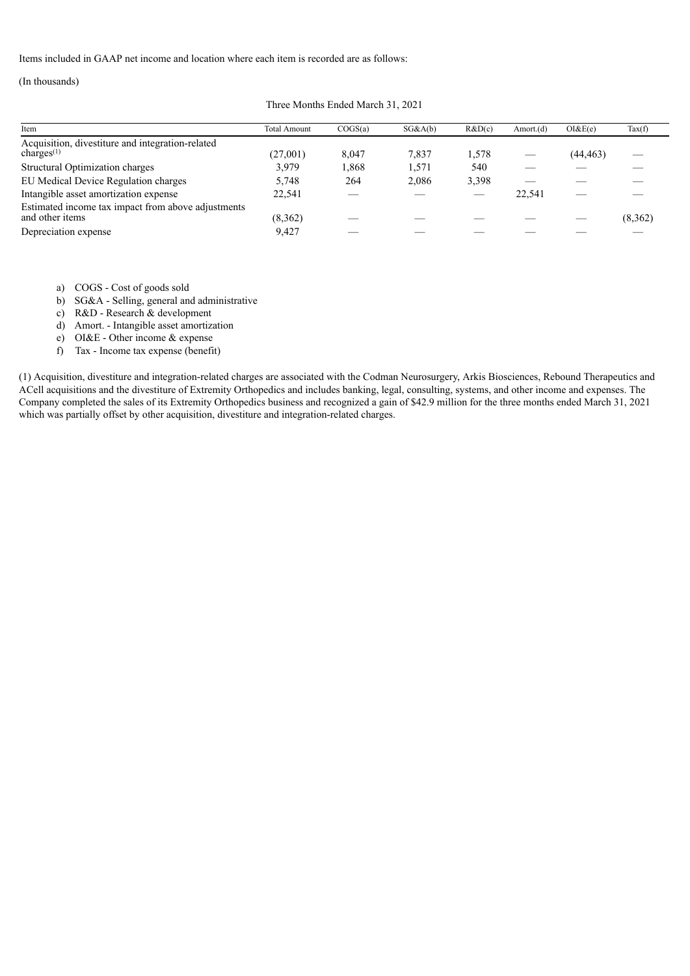Items included in GAAP net income and location where each item is recorded are as follows:

## (In thousands)

Three Months Ended March 31, 2021

| Item                                                                  | <b>Total Amount</b> | COGS(a) | SG&A(b) | R&D(c) | Amort. $(d)$ | OI&E(e)   | $\text{Tax}(f)$ |
|-----------------------------------------------------------------------|---------------------|---------|---------|--------|--------------|-----------|-----------------|
| Acquisition, divestiture and integration-related<br>charges $(1)$     | (27,001)            | 8,047   | 7,837   | 1.578  |              | (44, 463) |                 |
| Structural Optimization charges                                       | 3,979               | 1,868   | 1.571   | 540    |              |           |                 |
| EU Medical Device Regulation charges                                  | 5.748               | 264     | 2.086   | 3,398  |              |           |                 |
| Intangible asset amortization expense                                 | 22.541              |         |         |        | 22.541       |           |                 |
| Estimated income tax impact from above adjustments<br>and other items | (8,362)             |         |         |        |              |           | (8,362)         |
| Depreciation expense                                                  | 9,427               |         |         |        |              |           |                 |

a) COGS - Cost of goods sold

b) SG&A - Selling, general and administrative

c) R&D - Research & development

d) Amort. - Intangible asset amortization

e) OI&E - Other income & expense

f) Tax - Income tax expense (benefit)

(1) Acquisition, divestiture and integration-related charges are associated with the Codman Neurosurgery, Arkis Biosciences, Rebound Therapeutics and ACell acquisitions and the divestiture of Extremity Orthopedics and includes banking, legal, consulting, systems, and other income and expenses. The Company completed the sales of its Extremity Orthopedics business and recognized a gain of \$42.9 million for the three months ended March 31, 2021 which was partially offset by other acquisition, divestiture and integration-related charges.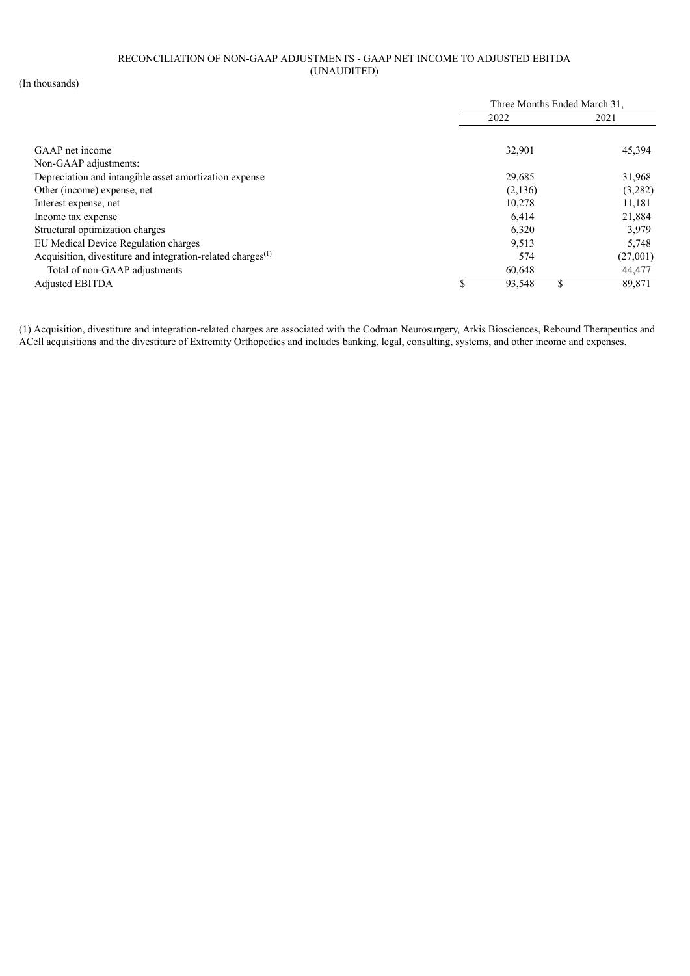## RECONCILIATION OF NON-GAAP ADJUSTMENTS - GAAP NET INCOME TO ADJUSTED EBITDA (UNAUDITED)

(In thousands)

|                                                                   | Three Months Ended March 31, |         |    |          |
|-------------------------------------------------------------------|------------------------------|---------|----|----------|
|                                                                   |                              | 2022    |    | 2021     |
|                                                                   |                              |         |    |          |
| GAAP net income                                                   |                              | 32,901  |    | 45,394   |
| Non-GAAP adjustments:                                             |                              |         |    |          |
| Depreciation and intangible asset amortization expense            |                              | 29,685  |    | 31,968   |
| Other (income) expense, net                                       |                              | (2,136) |    | (3,282)  |
| Interest expense, net                                             |                              | 10,278  |    | 11,181   |
| Income tax expense                                                |                              | 6,414   |    | 21,884   |
| Structural optimization charges                                   |                              | 6,320   |    | 3,979    |
| EU Medical Device Regulation charges                              |                              | 9,513   |    | 5,748    |
| Acquisition, divestiture and integration-related charges $^{(1)}$ |                              | 574     |    | (27,001) |
| Total of non-GAAP adjustments                                     |                              | 60,648  |    | 44,477   |
| <b>Adjusted EBITDA</b>                                            |                              | 93,548  | \$ | 89,871   |

(1) Acquisition, divestiture and integration-related charges are associated with the Codman Neurosurgery, Arkis Biosciences, Rebound Therapeutics and ACell acquisitions and the divestiture of Extremity Orthopedics and includes banking, legal, consulting, systems, and other income and expenses.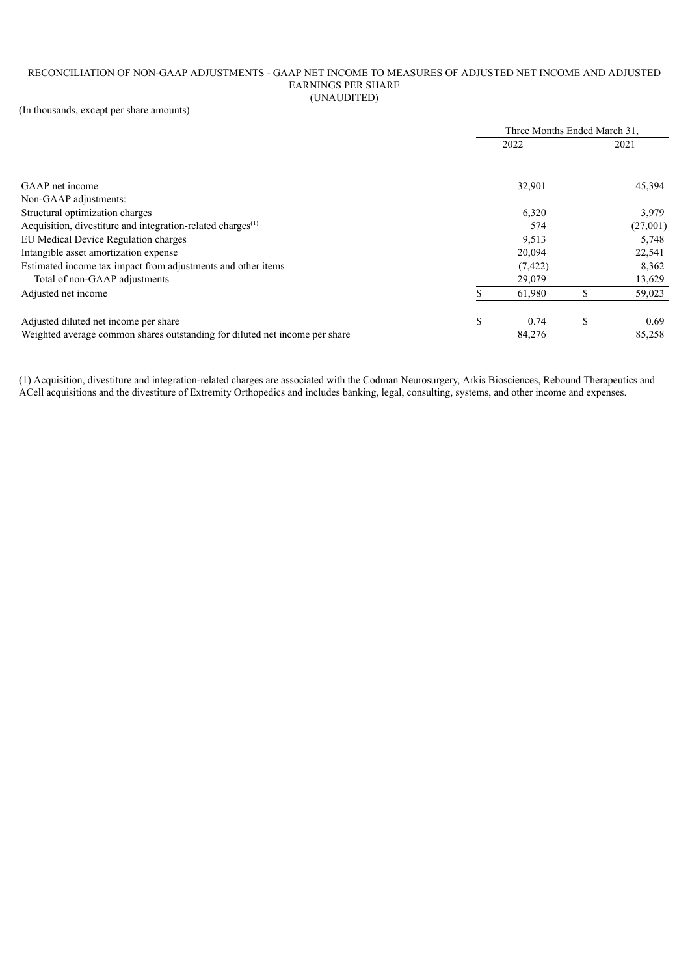#### RECONCILIATION OF NON-GAAP ADJUSTMENTS - GAAP NET INCOME TO MEASURES OF ADJUSTED NET INCOME AND ADJUSTED EARNINGS PER SHARE (UNAUDITED)

(In thousands, except per share amounts)

|                                                                             | Three Months Ended March 31, |          |    |          |
|-----------------------------------------------------------------------------|------------------------------|----------|----|----------|
|                                                                             |                              | 2022     |    | 2021     |
|                                                                             |                              |          |    |          |
| GAAP net income                                                             |                              | 32,901   |    | 45,394   |
| Non-GAAP adjustments:                                                       |                              |          |    |          |
| Structural optimization charges                                             |                              | 6,320    |    | 3,979    |
| Acquisition, divestiture and integration-related charges <sup>(1)</sup>     |                              | 574      |    | (27,001) |
| EU Medical Device Regulation charges                                        |                              | 9,513    |    | 5,748    |
| Intangible asset amortization expense                                       |                              | 20,094   |    | 22,541   |
| Estimated income tax impact from adjustments and other items                |                              | (7, 422) |    | 8,362    |
| Total of non-GAAP adjustments                                               |                              | 29,079   |    | 13,629   |
| Adjusted net income                                                         |                              | 61,980   |    | 59,023   |
| Adjusted diluted net income per share                                       | \$                           | 0.74     | \$ | 0.69     |
| Weighted average common shares outstanding for diluted net income per share |                              | 84,276   |    | 85,258   |

(1) Acquisition, divestiture and integration-related charges are associated with the Codman Neurosurgery, Arkis Biosciences, Rebound Therapeutics and ACell acquisitions and the divestiture of Extremity Orthopedics and includes banking, legal, consulting, systems, and other income and expenses.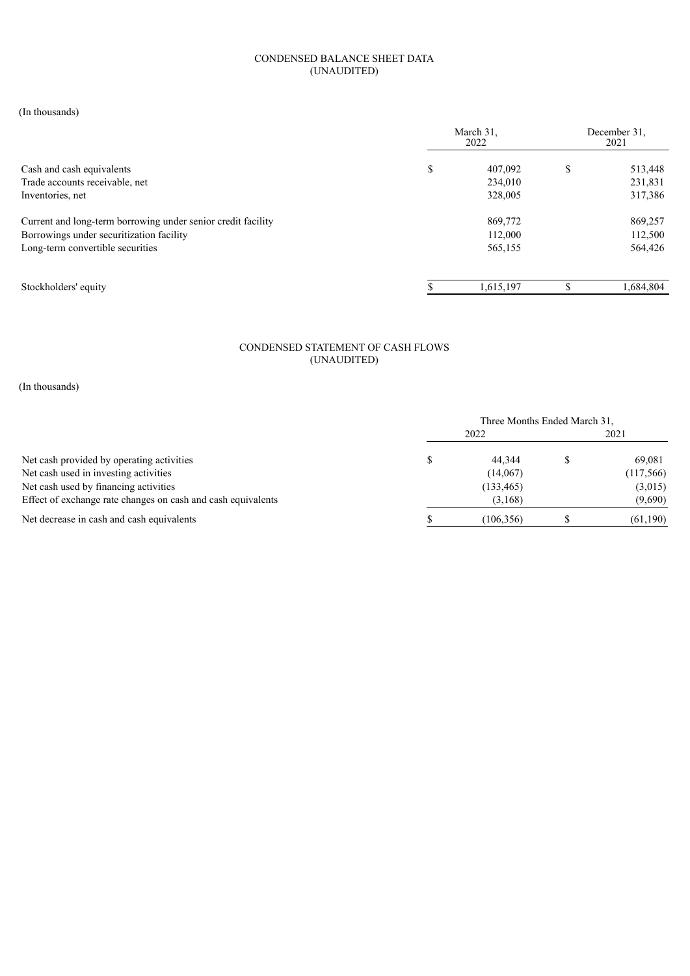## CONDENSED BALANCE SHEET DATA (UNAUDITED)

(In thousands)

| March 31,<br>2022 |         | December 31.<br>2021 |           |
|-------------------|---------|----------------------|-----------|
| \$                | 407,092 | S                    | 513,448   |
|                   | 234,010 |                      | 231,831   |
|                   | 328,005 |                      | 317,386   |
|                   | 869,772 |                      | 869,257   |
|                   | 112,000 |                      | 112,500   |
|                   | 565,155 |                      | 564,426   |
|                   |         |                      | 1,684,804 |
|                   |         | 1,615,197            |           |

## CONDENSED STATEMENT OF CASH FLOWS (UNAUDITED)

(In thousands)

|                                                              | Three Months Ended March 31. |            |  |           |
|--------------------------------------------------------------|------------------------------|------------|--|-----------|
|                                                              |                              | 2022       |  | 2021      |
| Net cash provided by operating activities                    |                              | 44.344     |  | 69.081    |
| Net cash used in investing activities                        |                              | (14,067)   |  | (117,566) |
| Net cash used by financing activities                        |                              | (133, 465) |  | (3,015)   |
| Effect of exchange rate changes on cash and cash equivalents |                              | (3,168)    |  | (9,690)   |
| Net decrease in cash and cash equivalents                    |                              | (106, 356) |  | (61,190)  |